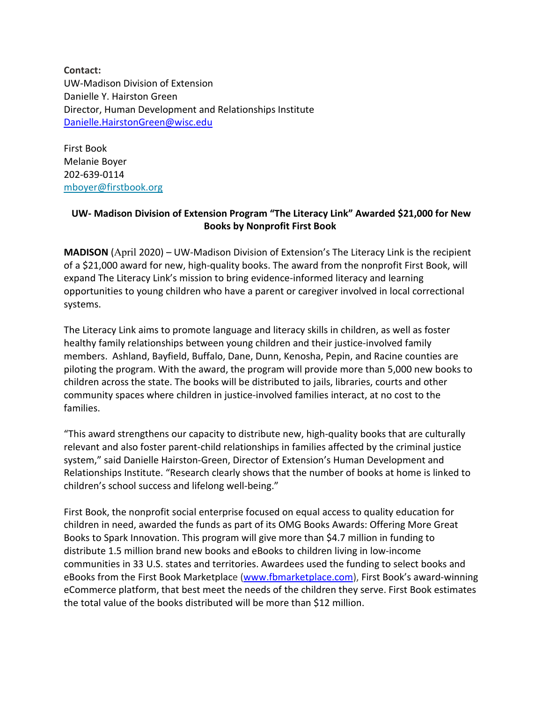**Contact:** UW-Madison Division of Extension Danielle Y. Hairston Green Director, Human Development and Relationships Institute [Danielle.HairstonGreen@wisc.edu](mailto:Danielle.HairstonGreen@wisc.edu)

First Book Melanie Boyer 202-639-0114 [mboyer@firstbook.org](mailto:mboyer@firstbook.org)

## **UW- Madison Division of Extension Program "The Literacy Link" Awarded \$21,000 for New Books by Nonprofit First Book**

**MADISON** (April 2020) – UW-Madison Division of Extension's The Literacy Link is the recipient of a \$21,000 award for new, high-quality books. The award from the nonprofit First Book, will expand The Literacy Link's mission to bring evidence-informed literacy and learning opportunities to young children who have a parent or caregiver involved in local correctional systems.

The Literacy Link aims to promote language and literacy skills in children, as well as foster healthy family relationships between young children and their justice-involved family members. Ashland, Bayfield, Buffalo, Dane, Dunn, Kenosha, Pepin, and Racine counties are piloting the program. With the award, the program will provide more than 5,000 new books to children across the state. The books will be distributed to jails, libraries, courts and other community spaces where children in justice-involved families interact, at no cost to the families.

"This award strengthens our capacity to distribute new, high-quality books that are culturally relevant and also foster parent-child relationships in families affected by the criminal justice system," said Danielle Hairston-Green, Director of Extension's Human Development and Relationships Institute. "Research clearly shows that the number of books at home is linked to children's school success and lifelong well-being."

First Book, the nonprofit social enterprise focused on equal access to quality education for children in need, awarded the funds as part of its OMG Books Awards: Offering More Great Books to Spark Innovation. This program will give more than \$4.7 million in funding to distribute 1.5 million brand new books and eBooks to children living in low-income communities in 33 U.S. states and territories. Awardees used the funding to select books and eBooks from the First Book Marketplace [\(www.fbmarketplace.com\)](http://www.fbmarketplace.com/), First Book's award-winning eCommerce platform, that best meet the needs of the children they serve. First Book estimates the total value of the books distributed will be more than \$12 million.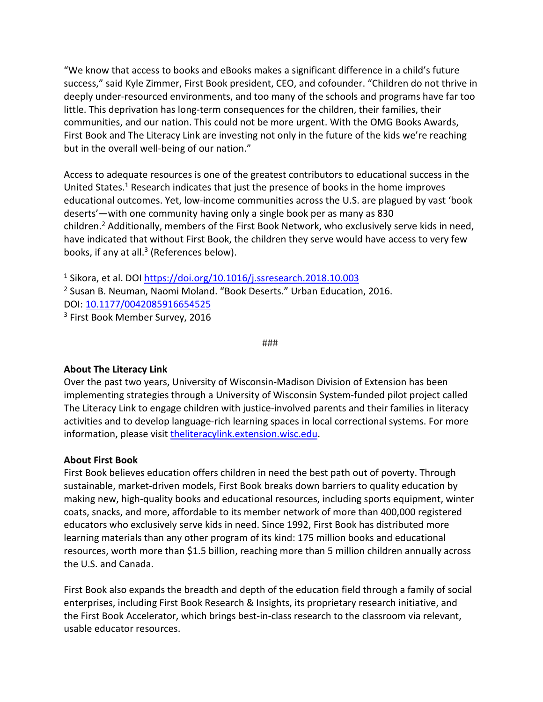"We know that access to books and eBooks makes a significant difference in a child's future success," said Kyle Zimmer, First Book president, CEO, and cofounder. "Children do not thrive in deeply under-resourced environments, and too many of the schools and programs have far too little. This deprivation has long-term consequences for the children, their families, their communities, and our nation. This could not be more urgent. With the OMG Books Awards, First Book and The Literacy Link are investing not only in the future of the kids we're reaching but in the overall well-being of our nation."

Access to adequate resources is one of the greatest contributors to educational success in the United States.1 Research indicates that just the presence of books in the home improves educational outcomes. Yet, low-income communities across the U.S. are plagued by vast 'book deserts'—with one community having only a single book per as many as 830 children.<sup>2</sup> Additionally, members of the First Book Network, who exclusively serve kids in need, have indicated that without First Book, the children they serve would have access to very few books, if any at all.<sup>3</sup> (References below).

<sup>1</sup> Sikora, et al. DOI <https://doi.org/10.1016/j.ssresearch.2018.10.003> <sup>2</sup> Susan B. Neuman, Naomi Moland. "Book Deserts." Urban Education, 2016. DOI: [10.1177/0042085916654525](https://journals.sagepub.com/doi/abs/10.1177/0042085916654525) <sup>3</sup> First Book Member Survey, 2016

###

## **About The Literacy Link**

Over the past two years, University of Wisconsin-Madison Division of Extension has been implementing strategies through a University of Wisconsin System-funded pilot project called The Literacy Link to engage children with justice-involved parents and their families in literacy activities and to develop language-rich learning spaces in local correctional systems. For more information, please visit [theliteracylink.extension.wisc.edu.](https://theliteracylink.extension.wisc.edu/)

## **About First Book**

First Book believes education offers children in need the best path out of poverty. Through sustainable, market-driven models, First Book breaks down barriers to quality education by making new, high-quality books and educational resources, including sports equipment, winter coats, snacks, and more, affordable to its member network of more than 400,000 registered educators who exclusively serve kids in need. Since 1992, First Book has distributed more learning materials than any other program of its kind: 175 million books and educational resources, worth more than \$1.5 billion, reaching more than 5 million children annually across the U.S. and Canada.

First Book also expands the breadth and depth of the education field through a family of social enterprises, including First Book Research & Insights, its proprietary research initiative, and the First Book Accelerator, which brings best-in-class research to the classroom via relevant, usable educator resources.